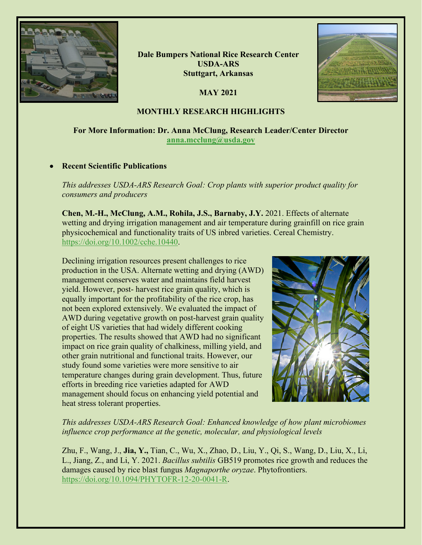

**Dale Bumpers National Rice Research Center USDA-ARS Stuttgart, Arkansas**

**MAY 2021**



# **MONTHLY RESEARCH HIGHLIGHTS**

# **For More Information: Dr. Anna McClung, Research Leader/Center Director [anna.mcclung@usda.gov](mailto:anna.mcclung@usda.gov)**

# • **Recent Scientific Publications**

*This addresses USDA-ARS Research Goal: Crop plants with superior product quality for consumers and producers*

**Chen, M.-H., McClung, A.M., Rohila, J.S., Barnaby, J.Y.** 2021. Effects of alternate wetting and drying irrigation management and air temperature during grainfill on rice grain physicochemical and functionality traits of US inbred varieties. Cereal Chemistry. [https://doi.org/10.1002/cche.10440.](https://doi.org/10.1002/cche.10440)

Declining irrigation resources present challenges to rice production in the USA. Alternate wetting and drying (AWD) management conserves water and maintains field harvest yield. However, post- harvest rice grain quality, which is equally important for the profitability of the rice crop, has not been explored extensively. We evaluated the impact of AWD during vegetative growth on post-harvest grain quality of eight US varieties that had widely different cooking properties. The results showed that AWD had no significant impact on rice grain quality of chalkiness, milling yield, and other grain nutritional and functional traits. However, our study found some varieties were more sensitive to air temperature changes during grain development. Thus, future efforts in breeding rice varieties adapted for AWD management should focus on enhancing yield potential and heat stress tolerant properties.



# *This addresses USDA-ARS Research Goal: Enhanced knowledge of how plant microbiomes influence crop performance at the genetic, molecular, and physiological levels*

Zhu, F., Wang, J., **Jia, Y.,** Tian, C., Wu, X., Zhao, D., Liu, Y., Qi, S., Wang, D., Liu, X., Li, L., Jiang, Z., and Li, Y. 2021. *Bacillus subtilis* GB519 promotes rice growth and reduces the damages caused by rice blast fungus *Magnaporthe oryzae*. Phytofrontiers. [https://doi.org/10.1094/PHYTOFR-12-20-0041-R.](https://doi.org/10.1094/PHYTOFR-12-20-0041-R)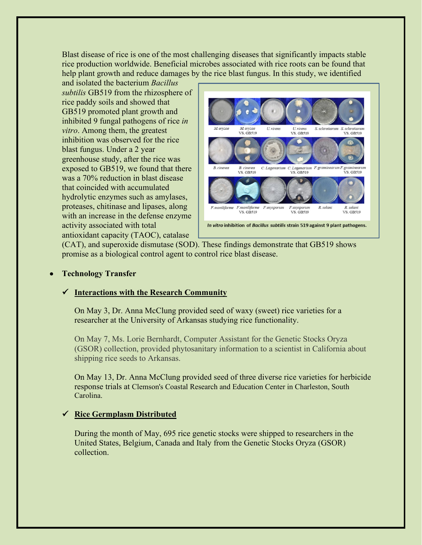Blast disease of rice is one of the most challenging diseases that significantly impacts stable rice production worldwide. Beneficial microbes associated with rice roots can be found that help plant growth and reduce damages by the rice blast fungus. In this study, we identified

and isolated the bacterium *Bacillus subtilis* GB519 from the rhizosphere of rice paddy soils and showed that GB519 promoted plant growth and inhibited 9 fungal pathogens of rice *in vitro*. Among them, the greatest inhibition was observed for the rice blast fungus. Under a 2 year greenhouse study, after the rice was exposed to GB519, we found that there was a 70% reduction in blast disease that coincided with accumulated hydrolytic enzymes such as amylases, proteases, chitinase and lipases, along with an increase in the defense enzyme activity associated with total antioxidant capacity (TAOC), catalase



(CAT), and superoxide dismutase (SOD). These findings demonstrate that GB519 shows promise as a biological control agent to control rice blast disease.

# • **Technology Transfer**

# **Interactions with the Research Community**

On May 3, Dr. Anna McClung provided seed of waxy (sweet) rice varieties for a researcher at the University of Arkansas studying rice functionality.

On May 7, Ms. Lorie Bernhardt, Computer Assistant for the Genetic Stocks Oryza (GSOR) collection, provided phytosanitary information to a scientist in California about shipping rice seeds to Arkansas.

On May 13, Dr. Anna McClung provided seed of three diverse rice varieties for herbicide response trials at Clemson's Coastal Research and Education Center in Charleston, South Carolina.

# **Rice Germplasm Distributed**

During the month of May, 695 rice genetic stocks were shipped to researchers in the United States, Belgium, Canada and Italy from the Genetic Stocks Oryza (GSOR) collection.